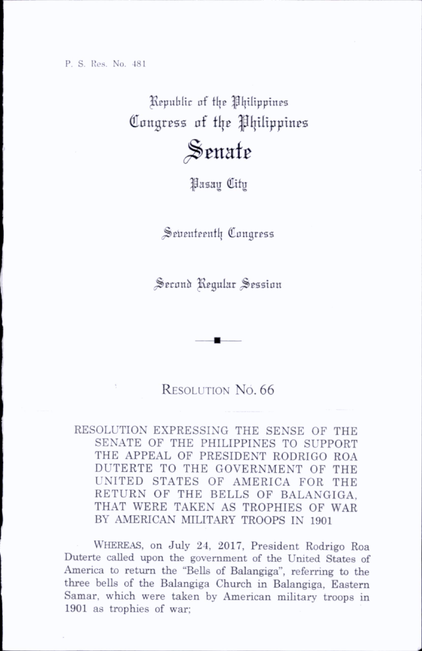## Republic of the Philippines Congress of ttje ^{jilippinos

## Senate

## ^asag City

Seventeenth Congress

Second Regular Session

## RESOLUTION NO. 66

RESOLUTION EXPRESSING THE SENSE OF THE SENATE OF THE PHILIPPINES TO SUPPORT THE APPEAL OF PRESIDENT RODRIGO ROA DUTERTE TO THE GOVERNMENT OF THE UNITED STATES OF AMERICA FOR THE RETURN OF THE BELLS OF BALANGIGA, THAT WERE TAKEN AS TROPHIES OF WAR BY AMERICAN MILITARY TROOPS IN 1901

Whereas, on July 24, 2017, President Rodrigo Roa Duterte called upon the government of the United States of America to return the "BeUs of Balangiga", referring to the three bells of the Balangiga Church in Balangiga, Eastern Samar, which were taken by American military troops in 1901 as trophies of war;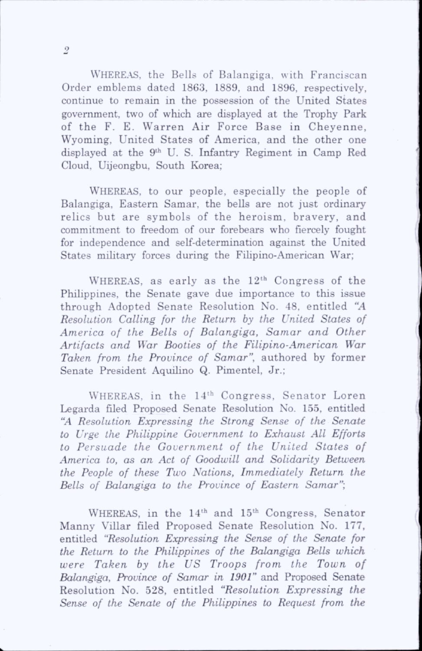WHEREAS, the Bells of Balangiga, with Franciscan Order emblems dated 1863, 1889, and 1896, respectively, continue to remain in the possession of the United States government, two of which are displayed at the Trophy Park of the F. E. Warren Air Force Base in Chevenne, Wyoming, United States of America, and the other one displayed at the 9th U. S. Infantry Regiment in Camp Red Cloud, Uijeongbu, South Korea;

WHEREAS, to our people, especially the people of Balangiga, Eastern Samar, the bells are not just ordinary relics but are symbols of the heroism, bravery, and commitment to freedom of our forebears who fiercely fought for independence and self-determination against the United States military forces during the Fihpino-American War;

WHEREAS, as early as the  $12<sup>th</sup>$  Congress of the Philippines, the Senate gave due importance to this issue through Adopted Senate Resolution No. 48, entitled "A Resolution Calling for the Return by the United States of America of the Bells of Balangiga, Samar and Other Artifacts and War Booties of the Filipino-American War Taken from the Province of Samar", authored by former Senate President Aquilino Q. Pimentel, Jr.;

WHEREAS, in the 14<sup>th</sup> Congress, Senator Loren Legarda filed Proposed Senate Resolution No. 155, entitled "A Resolution Expressing the Strong Sense of the Senate to Urge the Philippine Government to Exhaust AIL Efforts to Persuade the Government of the United States of America to, as an Act of Goodwill and Solidarity Between the People of these Two Nations, Immediately Return the Bells of Balangiga to the Province of Eastern Samar";

WHEREAS, in the  $14<sup>th</sup>$  and  $15<sup>th</sup>$  Congress, Senator Manny \ Tillar filed Proposed Senate Resolution No. 177, entitled "Resolution Expressing the Sense of the Senate for the Return to the Philippines of the Balangiga Bells which were Taken by the US Troops from the Town of Balangiga, Province of Samar in 1901" and Proposed Senate Resolution No. 528, entitled "Resolution Expressing the Sense of the Senate of the Philippines to Request from the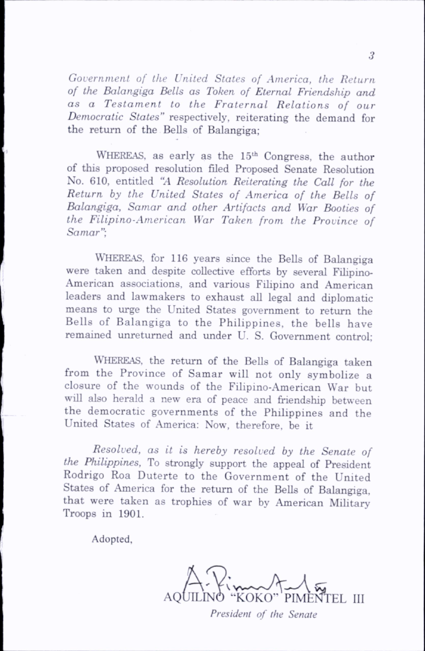Government of the United States of America, the Return of the Balangiga Bells as Token of Eternal Friendship and as a Testament to the Fraternal Relations of our Democratic States" respectively, reiterating the demand for the return of the Bells of Balangiga;

WHEREAS, as early as the 15<sup>th</sup> Congress, the author of this proposed resolution filed Proposed Senate Resolution No. 610, entitled "A Resolution Reiterating the Call for the Return by the United States of America of the Bells of Balangiga, Samar and other Artifacts and War Booties of the Filipino-American War Taken from the Province of Samar";

WHEREAS, for 116 years since the Bells of Balangiga were taken and despite collective efforts by several Filipino-American associations, and various Filipino and American leaders and lawmakers to exhaust all legal and diplomatic means to urge the United States government to return the Bells of Balangiga to the Philippines, the bells have remained unreturned and under U. S. Government control;

Whereas, the return of the Bells of Balangiga taken from the Province of Samar will not only symbolize a closure of the wounds of the Filipino-American War but will also herald a new era of peace and friendship between the democratic governments of the Philippines and the United States of America: Now, therefore, be it

Resolved, as it is hereby resolved by the Senate of the Philippines, To strongly support the appeal of President Rodrigo Roa Duterte to the Government of the United States of America for the return of the Bells of Balangiga, that were taken as trophies of war by American Military Troops in 1901.

Adopted,

A. P. MALLEY

President of the Senate